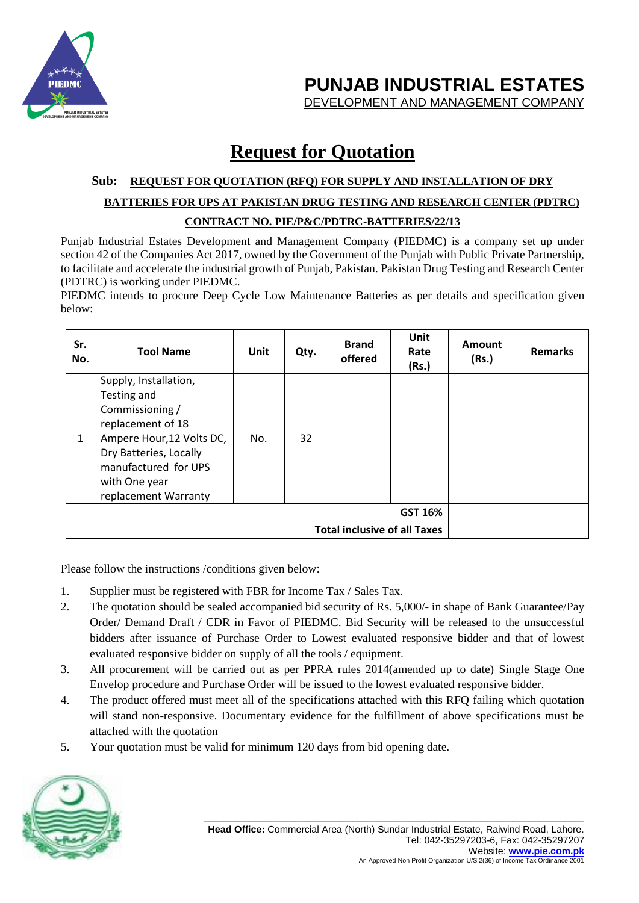

**PUNJAB INDUSTRIAL ESTATES**

DEVELOPMENT AND MANAGEMENT COMPANY

## **Request for Quotation**

## **Sub: REQUEST FOR QUOTATION (RFQ) FOR SUPPLY AND INSTALLATION OF DRY BATTERIES FOR UPS AT PAKISTAN DRUG TESTING AND RESEARCH CENTER (PDTRC) CONTRACT NO. PIE/P&C/PDTRC-BATTERIES/22/13**

Punjab Industrial Estates Development and Management Company (PIEDMC) is a company set up under section 42 of the Companies Act 2017, owned by the Government of the Punjab with Public Private Partnership, to facilitate and accelerate the industrial growth of Punjab, Pakistan. Pakistan Drug Testing and Research Center (PDTRC) is working under PIEDMC.

PIEDMC intends to procure Deep Cycle Low Maintenance Batteries as per details and specification given below:

| Sr.<br>No.   | <b>Tool Name</b>                                                                                                                                                                                     | Unit | Qty. | <b>Brand</b><br>offered | Unit<br>Rate<br>(Rs.) | Amount<br>(Rs.) | <b>Remarks</b> |
|--------------|------------------------------------------------------------------------------------------------------------------------------------------------------------------------------------------------------|------|------|-------------------------|-----------------------|-----------------|----------------|
| $\mathbf{1}$ | Supply, Installation,<br>Testing and<br>Commissioning /<br>replacement of 18<br>Ampere Hour, 12 Volts DC,<br>Dry Batteries, Locally<br>manufactured for UPS<br>with One year<br>replacement Warranty | No.  | 32   |                         |                       |                 |                |
|              | <b>GST 16%</b>                                                                                                                                                                                       |      |      |                         |                       |                 |                |
|              | <b>Total inclusive of all Taxes</b>                                                                                                                                                                  |      |      |                         |                       |                 |                |

Please follow the instructions /conditions given below:

- 1. Supplier must be registered with FBR for Income Tax / Sales Tax.
- 2. The quotation should be sealed accompanied bid security of Rs. 5,000/- in shape of Bank Guarantee/Pay Order/ Demand Draft / CDR in Favor of PIEDMC. Bid Security will be released to the unsuccessful bidders after issuance of Purchase Order to Lowest evaluated responsive bidder and that of lowest evaluated responsive bidder on supply of all the tools / equipment.
- 3. All procurement will be carried out as per PPRA rules 2014(amended up to date) Single Stage One Envelop procedure and Purchase Order will be issued to the lowest evaluated responsive bidder.
- 4. The product offered must meet all of the specifications attached with this RFQ failing which quotation will stand non-responsive. Documentary evidence for the fulfillment of above specifications must be attached with the quotation
- 5. Your quotation must be valid for minimum 120 days from bid opening date.